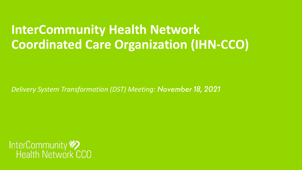### **InterCommunity Health Network Coordinated Care Organization (IHN-CCO)**

*Delivery System Transformation (DST) Meeting:* 

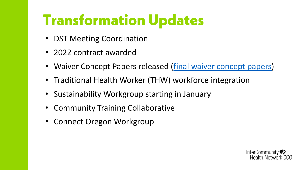### **Transformation Updates**

- DST Meeting Coordination
- 2022 contract awarded
- Waiver Concept Papers released [\(final waiver concept papers](https://nam11.safelinks.protection.outlook.com/?url=https%3A%2F%2Fwww.oregon.gov%2Foha%2Fhsd%2Fmedicaid-policy%2Fpages%2Fwaiver-renewal.aspx%3Futm_source%3DOHA%26utm_medium%3Degov_redirect%26utm_campaign%3Dhttps%253A%252F%252Fwww.oregon.gov%252F1115waiverrenewal&data=04%7C01%7C%7C0b17dc98751c4ea716e508d99e32920a%7C8ffc5ea6dcec475495d8337958ecb2fc%7C0%7C0%7C637714763288984486%7CUnknown%7CTWFpbGZsb3d8eyJWIjoiMC4wLjAwMDAiLCJQIjoiV2luMzIiLCJBTiI6Ik1haWwiLCJXVCI6Mn0%3D%7C1000&sdata=3K4TLUEBnfcIwqTbqIqT9%2BYaUw7Rty%2FHi8P5ffb%2FJR8%3D&reserved=0))
- Traditional Health Worker (THW) workforce integration
- Sustainability Workgroup starting in January
- Community Training Collaborative
- Connect Oregon Workgroup

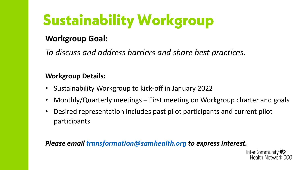# **Sustainability Workgroup**

### **Workgroup Goal:**

*To discuss and address barriers and share best practices.*

#### **Workgroup Details:**

- Sustainability Workgroup to kick-off in January 2022
- Monthly/Quarterly meetings First meeting on Workgroup charter and goals
- Desired representation includes past pilot participants and current pilot participants

#### *Please email [transformation@samhealth.org](mailto:transformation@samhealth.org) to express interest.*

InterCommunity Health Network CCO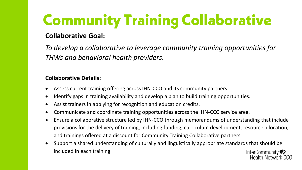## **Community Training Collaborative**

### **Collaborative Goal:**

*To develop a collaborative to leverage community training opportunities for THWs and behavioral health providers.*

#### **Collaborative Details:**

- Assess current training offering across IHN-CCO and its community partners.
- Identify gaps in training availability and develop a plan to build training opportunities.
- Assist trainers in applying for recognition and education credits.
- Communicate and coordinate training opportunities across the IHN-CCO service area.
- Ensure a collaborative structure led by IHN-CCO through memorandums of understanding that include provisions for the delivery of training, including funding, curriculum development, resource allocation, and trainings offered at a discount for Community Training Collaborative partners.
- Support a shared understanding of culturally and linguistically appropriate standards that should be included in each training.InterCommunity

Health Network CCO